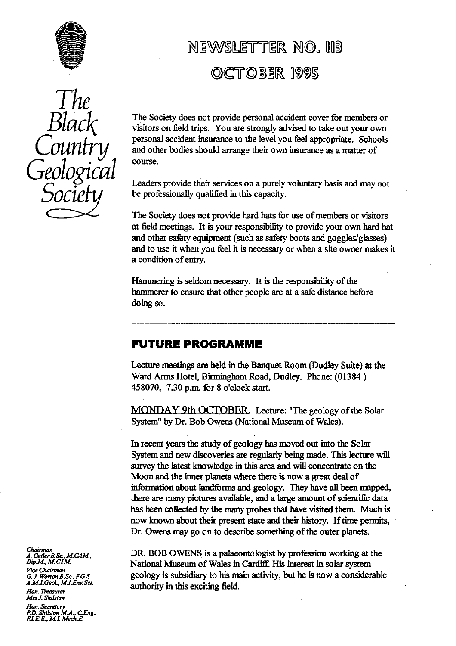

## NEWSLMER **HDa** *<sup>o</sup>*

# OCTOBER 1995

*The Black Country Geological Socie*

The Society does not provide personal accident cover for members or visitors on field trips. You are strongly advised to take out your own personal accident insurance to the level you feel appropriate. Schools and other bodies should arrange their own insurance as a matter of course.

Leaders provide their services on a purely voluntary basis and may not be professionally qualified in this capacity.

The Society does not provide hard hats for use of members or visitors at field meetings. It is your responsibility to provide your own hard hat and other safety equipment (such as safety boots and goggles/glasses) and to use it when you feel it is necessary or when a site owner makes it a condition of entry.

Hammering is seldom necessary. It is the responsibility of the hammerer to ensure that other people are at a safe distance before doing so.

## **FUTURE PROGRAMME**

Lecture meetings are held in the Banquet Room (Dudley Suite) at the Ward Arms Hotel, Birmingham Road, Dudley. Phone: (01384) 458070. 7.30 p.m. for 8 o'clock start.

MONDAY 9th OCTOBER. Lecture: "The geology of the Solar System" by Dr. Bob Owens (National Museum of Wales).

In recent years the study of geology has moved out into the Solar System and new discoveries are regularly being made. This lecture will survey the latest knowledge in this area and will concentrate on the Moon and the inner planets where there is now a great deal of information about landforms and geology. They have all been mapped, there are many pictures available, and a large amount of scientific data has been collected by the many probes that have visited them. Much is now known about their present state and their history. If time permits, Dr. Owens may go on to describe something of the outer planets.

DR. BOB OWENS is a palaeontologist by profession working at the National Museum of Wales in Cardiff. His interest in solar system geology is subsidiary to his main activity, but he is now a considerable authority in this exciting field.

*Chairman A. Cutler B.Sc., M.CAM.*,<br>*Dip.M., M.CI* M<mark>.</mark> *Vice Chairman G.J. Worron B.Sc., F.G.S., A.M.I.Geol., MJEnv SeL Hon. Thean her* **Mrs J. Shilsron**

**Hon. Secretary** *P.D. Shilsion M.A., CEng., F.I.E.&. Mi. Merh.E.*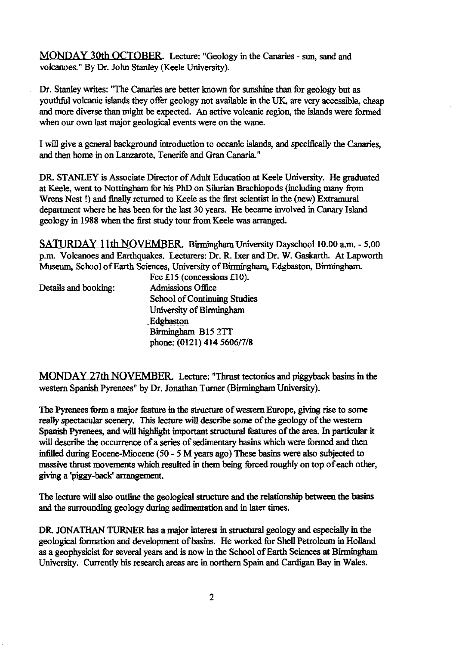MONDAY 30th OCTOBER. Lecture: "Geology in the Canaries - sun, sand and volcanoes." By Dr. John Stanley (Keele University).

Dr. Stanley writes: "The Canaries are better known for sunshine than for geology but as youthful volcanic islands they offer geology not available in the UK, are very accessible, cheap and more diverse than might be expected. An active volcanic region, the islands were formed when our own last major geological events were on the wane.

I will give a general background introduction to oceanic islands, and specifically the Canaries, and then home in on Lanzarote, Tenerife and Gran Canaria."

DR. STANLEY is Associate Director of Adult Education at Keele University. He graduated at Keele, went to Nottingham for his PhD on Silurian Brachiopods (including many from Wrens Nest !) and finally returned to Keele as the first scientist in the (new) Extramural department where he has been for the last 30 years. He became involved in Canary Island geology in 1988 when the first study tour from Keele was arranged.

SATURDAY 11th NOVEMBER. Birmingham University Dayschool 10.00 a.m. - 5.00 p.m. Volcanoes and Earthquakes. Lecturers: Dr. **R.** Ixer and Dr. **W.** Gaskarth. At Lapworth Museum, School of Earth Sciences, University of Birmingham, Edgbaston, Birmingham.  $\overline{E}_{\text{on}}$ .  $\overline{C}$ 15 (concessions  $\overline{C}$ 

|                      | $rec \pm 1$ (concessions $\pm 10$ ). |
|----------------------|--------------------------------------|
| Details and booking: | <b>Admissions Office</b>             |
|                      | School of Continuing Studies         |
|                      | University of Birmingham             |
|                      | Edgbaston                            |
|                      | Birmingham B15 2TT                   |
|                      | phone: (0121) 414 5606/7/8           |
|                      |                                      |

MONDAY 27th NOVEMBER. Lecture: "Thrust tectonics and piggyback basins in the western Spanish Pyrenees" by Dr. Jonathan Turner (Birmingham University).

The Pyrenees form a major feature in the structure of western Europe, giving rise to some really spectacular scenery. This lecture will describe **some** of the geology of the western Spanish Pyrenees, and will highlight important structural features of the area. In particular it will describe the occurrence of a series of sedimentary basins which were formed and then infilled during Eocene-Miocene *(50-5* M years ago) These basins were also subjected to massive thrust movements which resulted in them being forced roughly on top of each other, giving a 'piggy**-back' arrangement.**

The Iecture will also outline the geological structure and the relationship between *the* basins and the surrounding geology during sedimentation and in later times.

DR. JONATHAN TURNER has a major interest in structural geology and especially in the geological formation and development of basins. He worked for *Shell* Petroleum in Holland as a geophysicist for several years and is now in the School of Earth Sciences at Birmingham University. Currently his research areas are in northern Spain and Cardigan Bay in Wales.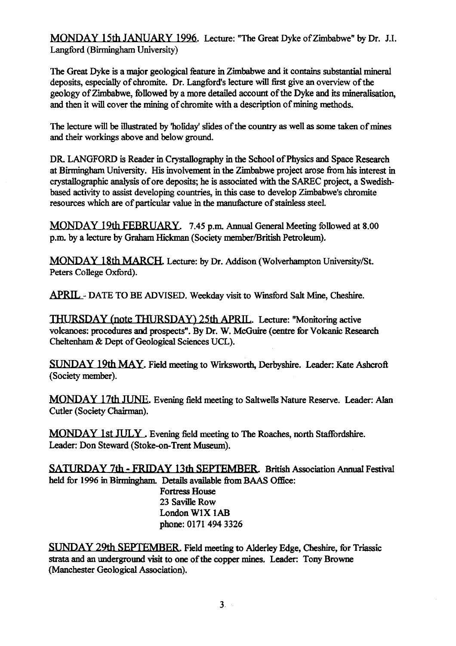MONDAY 15th JANUARY 1996. Lecture: "The Great Dyke of Zimbabwe" by Dr. J.I. Langford (Birmingham University)

The Great Dyke is a major geological feature in Zimbabwe and it contains substantial mineral deposits, especially of chromite. Dr. Langford's lecture will first give an overview of the geology of Zimbabwe, followed by a more detailed account of the Dyke and its mineralisation, and then it will cover the mining of chromite with a description of mining methods.

The lecture will be illustrated by 'holiday' slides of the country as well as some taken of mines and their workings above and below ground.

DR. LANGFORD is Reader in Crystallography in the School of Physics and Space Research at Birmingham University. His involvement in the Zimbabwe project arose from his interest in crystallographic analysis of ore deposits; he is associated with the SAREC project, a Swedishbased activity to assist developing countries, in this case to develop Zimbabwe's chromite resources which are of particular value in the manufacture of stainless steel.

MONDAY 19th FEBRUARY. 7.45 p.m. Annual General Meeting followed at 8.00 p.m. by a lecture by Graham Hickman (Society member/British Petroleum).

MONDAY 18th MARCH. Lecture: by Dr. Addison (Wolverhampton University/St. Peters College Oxford).

APRIL DATE TO **BE** ADVISED. Weekday visit to Winsford Salt Mine, Cheshire.

THURSDAY (note THURSDAY) 25th APRIL. Lecture: "Monitoring active volcanoes: procedures and prospects". By Dr. W. McGuire (centre for Volcanic Research Cheltenham & Dept of Geological Sciences UCL).

SUNDAY 19th MAY. Field meeting to Wirksworth, Derbyshire. Leader: Kate Ashcroft (Society member).

MONDAY 17th JUNE. Evening field meeting to Saltwells Nature Reserve. Leader: Alan Cutler (Society Chairman).

MONDAY 1st JULY . Evening field meeting to The Roaches, north Staffordshire. Leader: Don Steward (Stoke-on-Trent Museum).

SATURDAY 7th - FRIDAY 13th SEPTEMBER. British Association Annual Festival held for 1996 in Birmingham. Details available from BAAS Office: Fortress House 23 Saville Row **London WIX IAB** phone: 0171 494 3326

**SUNDAY 29th SEPTEMBER.** Field meeting to Alderley Edge, Cheshire, for Triassic strata and an underground visit to one of the copper mines. Leader: Tony Browne (Manchester Geological Association).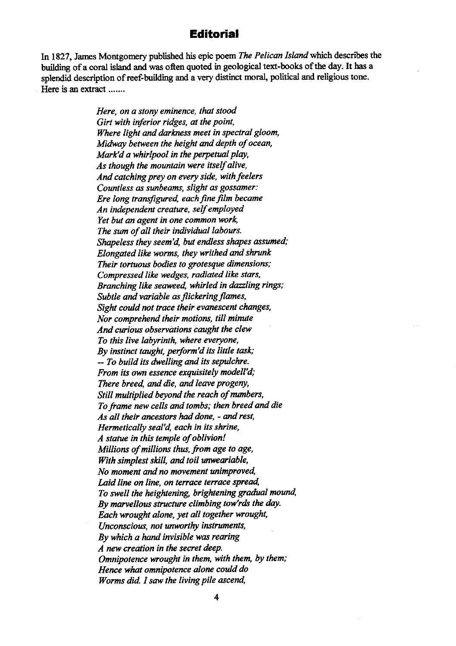## **Editorial**

In 1827, James Montgomery published his epic poem *The Pelican Island* which describes the building of a coral island and was often quoted in geological text-books of the day. It has a splendid description of reef-building and a very distinct moral, political and religious tone. Here is an extract .......

> *Here, on a stony eminence, that stood Girt with inferior ridges, at the point, Where light and darkness meet in spectral gloom. Midway between the height and depth of ocean, Mark'd a whirlpool in the perpetual play, As though the mountain were itself alive, And catching prey on every side, with feelers Countless as sunbeams, slight as gossamer: Ere long transfigured, each fine film became An independent creature, self employed Yet but an agent in one common work, The sum of all their individual labours. Shapeless they seem 'd, but endless shapes assumed; Elongated like worms, they writhed and shrunk Their tortuous bodies to grotesque dimensions; Compressed like wedges, radiated like stars, Branching like seaweed, whirled in dazzling rings; Subtle and variable as flickering flames, Sight could not trace their evanescent changes, Nor comprehend their motions, till minute And curious observations caught the clew To this live labyrinth, where everyone, By instinct taught, perform'd its little task; -- To build its dwelling and its sepulchre. From its own essence exquisitely modell'd; There breed, and die, and leave progeny, Still multiplied beyond the reach of numbers, To frame new cells and tombs; then breed and die As all their ancestors had done, - and rest, Hermetically seal'd, each in its shrine, A statue in this temple of oblivion! Millions of millions thus, from age to age, With simplest skill, and toil unweariable, No moment and no movement unimproved, Laid line on line, on terrace terrace spread, To swell the heightening, brightening gradual mound, By marvellous structure climbing tow'rds the day. Each wrought alone, yet all together wrought. Unconscious, not unworthy instruments, By which a hand invisible was rearing A new creation in the secret deep. Omnipotence wrought in them, with them, by them; Hence what omnipotence alone could do Worms did. I saw the living pile ascend,*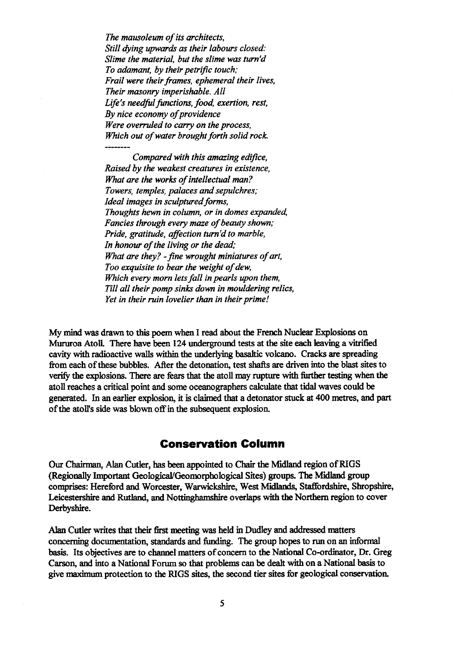*The mausoleum of its architects, Still dying upwards as their labours closed: Slime the material, but the slime was turn'd To adamant, by their petrific touch; Frail were their frames, ephemeral their lives, Their masonry imperishable. Al! Life's needful functions, food, exertion, rest, By nice economy of providence Were overruled to carry on the process, Which out of water brought forth solid rock.*

*Compared with this amazing edifice, Raised by the weakest creatures in existence, What are the works of intellectual man? Towers, temples, palaces and sepulchres; Ideal images in sculptured farms, Thoughts hewn in column, or in domes expanded, Fancies through every maze of beauty shown; Pride, gratitude, affection turn'd to marble, In honour of the living or the dead; What are they? - fine wrought miniatures of art, Too exquisite to bear the weight of dew, Which every morn lets fall in pearls upon them, Till all their pomp sinks down in mouldering relics, Yet in their ruin lovelier than in their prime!*

**My mind was drawn to this poem when I read about the French Nuclear Explosions on Mururoa** Atoll. There have been 124 underground tests at the site each leaving a vitrified cavity with radioactive walls within the underlying basaltic volcano. Cracks are spreading from each of these bubbles. After the detonation, test shafts are driven into the blast sites to verify the explosions. There are fears that the atoll may **rupture** with further testing when the atoll reaches a critical point and some oceanographers calculate that tidal waves could be generated. In an earlier explosion, it is claimed that a detonator stuck at 400 metres, and part of the atoll's side was blown off in the subsequent explosion.

## **Conservation Column**

Our Chairman, Alan Cutler, has been appointed to Chair the Midland region of **RIGS (Regionally Important Geological/Geomorphological** Sites) groups. The Midland group comprises: Hereford and Worcester, Warwickshire, West Midlands, Staffordshire, Shropshire, Leicestershire and Rutland, and Nottinghamshire overlaps with the Northern region to cover Derbyshire.

Alan Cutler writes that their first meeting was held in Dudley and addressed matters concerning documentation, standards and funding. The group hopes to run on an informal basis. Its objectives are to channel matters of concern to the National Co-ordinator, Dr. Greg Carson, and into a National Forum so that problems can be dealt with on a National basis to give maximum protection to the RIGS sites, the second tier sites for geological conservation.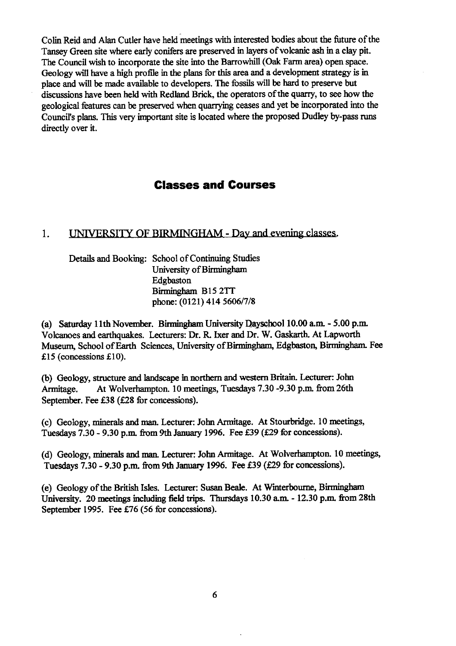Colin Reid and Alan Cutler have held meetings with interested bodies about the future of the Tansey Green site where early conifers are preserved in layers of volcanic ash in a clay pit. The Council wish to incorporate the site into the Barrowhill (Oak Farm area) open space. Geology will have a high profile in the plans for this area and a development strategy is in place and will be made available to developers. The fossils will be hard to preserve but discussions have been held with Redland Brick, the operators of the quarry, to see how the geological features can be preserved when quarrying ceases and yet be incorporated into the Councils plans. This very important site is located where the proposed Dudley by-pass runs directly over it.

## **Classes and Courses**

#### UNIVERSITY OF BIRMINGHAM - Day and evening classes.  $1.$

Details and Booking: School of Continuing Studies University of Birmingham Edgbaston Birmingham B15 2TT phone: (0121) 414 5606/7/8

(a) Saturday 11th November. Birmingham University Dayscbool 10.00 a.m. - 5.00 p.m. Volcanoes and earthquakes. Lecturers: Dr. R. Ixer and Dr. W. Gaskarth. At Lapworth Museum, School of Earth Sciences, University of Birmingham, Edgbaston, Birmingham. Fee £15 (concessions £10).

(b) Geology, structure and landscape in northern and western Britain. Lecturer: John Armitage. At Wolverhampton. 10 meetings, Tuesdays 7.30 -9.30 p.m. from 26th September. Fee £38 (£28 for concessions).

(c) Geology, minerals and man. Lecturer: John Armitage. At Stourbridge. 10 meetings, Tuesdays 7.30 - 9.30 p.m. from 9th January 1996. Fee £39 (£29 for concessions).

(d) Geology, minerals and man. Lecturer: John Armitage. At Wolverhampton. 10 meetings, Tuesdays 7.30 - 9.30 p.m. from 9th January 1996. Fee £39 (£29 for concessions).

(e) Geology of the British Isles. Lecturer: Susan Beale. At Winterboume, Birmingham University. 20 meetings including field trips. Thursdays 10.30 a.m. - 12.30 p.m. from 28th September 1995. Fee £76 (56 for concessions).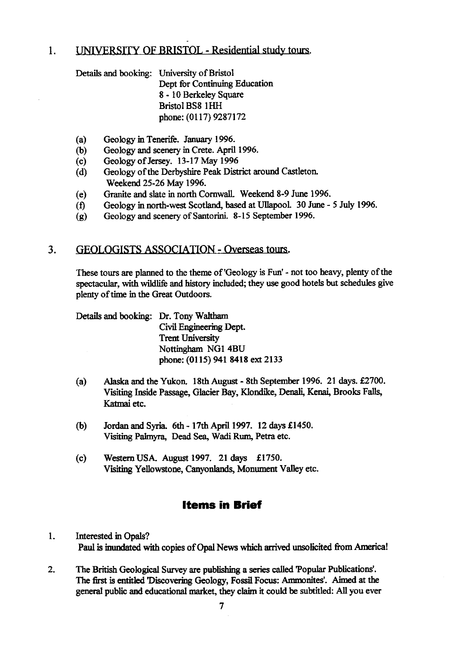#### UNIVERSITY OF BRISTOL - Residential study tours.  $\mathbf{1}$ .

Details and booking: University of Bristol Dept for Continuing Education 8 - 10 Berkeley Square Bristol BS8 1HH phone: (0117) 9287172

- (a) Geology in Tenerife. January 1996.<br>(b) Geology and scenery in Crete. April
- (b) Geology and scenery in Crete. April 1996.<br>
(c) Geology of Jersey. 13-17 May 1996
- 
- (c) Geology of Jersey. 13-17 May 1996<br>(d) Geology of the Derbyshire Peak Dist Geology of the Derbyshire Peak District around Castleton. Weekend 25-26 May 1996.
- (e) Granite and slate in north Cornwall. Weekend 8-9 June 1996.
- (f) Geology in north-west Scotland, based at Ullapool. 30 June 5 July 1996.
- (g) Geology and scenery of Santorini. 8-15 September 1996.

#### $3.$ **KEOLOGISTS ASSOCIATION - Overseas tours.**

These tours are planned to the theme of 'Geology is Fun' - not too heavy, plenty of the spectacular, with wildlife and history included; they use good hotels but schedules give plenty of time in the Great Outdoors.

Details and booking: Dr. Tony Waltham Civil Engineering Dept. Trent University Nottingham NG1 4BU phone: (0115) 941 8418 ext 2133

- (a) Alaska and the Yukon. 18th August 8th September 1996. 21 days. £2700. Visiting Inside Passage, Glacier Bay, Klondike, Denali, Kenai, Brooks Falls, Katmai etc.
- (b) Jordan and Syria. 6th 17th April 1997. 12 days £1450. Visiting Palmyra, Dead Sea, Wadi Rum, Petra etc.
- (c) Western USA. August 1997. 21 days £1750. Visiting Yellowstone, Canyonlands, Monument Valley etc.

## **Items in Brief**

- 1. Interested **in** Opals? **Paul is inundated with copies of Opal News which arrived** unsolicited from America!
- 2. The British Geological Survey are publishing a series called Popular Publications'. The first is entitled 'Discovering Geology, Fossil Focus: Ammonites'. Aimed at the general public and educational market, they claim it could be subtitled: All you ever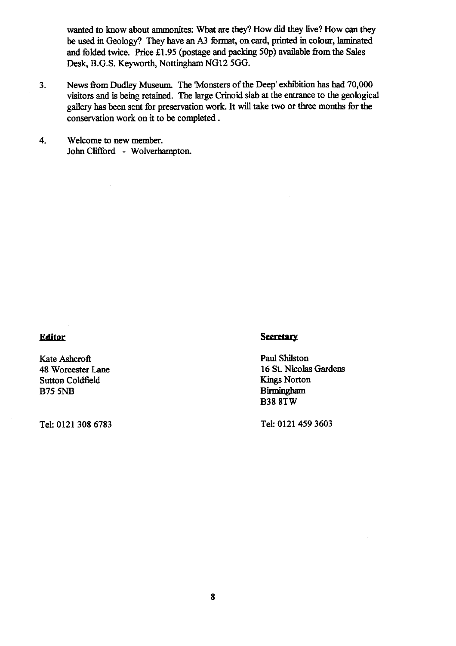wanted to know about ammonites: What are they? How did they live? How can they be used in Geology? They have an A3 format, on card, printed in colour, laminated and folded twice. Price £1.95 (postage and packing 50p) available from the Sales Desk, B.G.S. Keyworth, Nottingham NG12 *500.*

- 3. News from Dudley Museum. The Monsters of the Deep' exhibition has had 70,000 visitors and is being retained. The large Crinoid slab at the entrance to the geological gallery has been sent for preservation work. It will take two or three months for the conservation work on it to be completed.
- 4. Welcome to new member. John Clifford - Wolverhampton.

## **Editor**

48 Worcester Lane 16 St. Nicolas Sutton Coldfield Kings Norton Sutton Coldfield<br>B75 5NB

### **Secretary**

Kate Ashcroft<br>
48 Worcester Lane<br>
16 St. Nicolas Gardens Birmingham B38 8TW

Tel: 0121 308 6783 Tel: 0121 459 3603